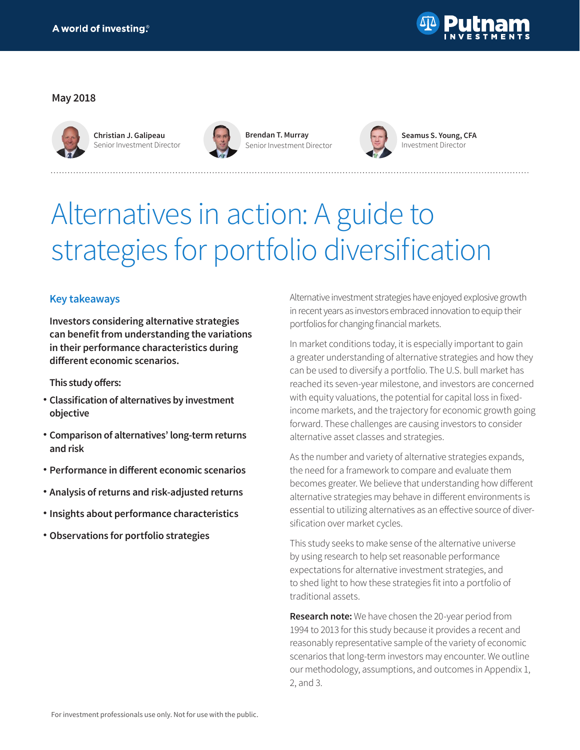

**May 2018**



**Christian J. Galipeau** Senior Investment Director



**Brendan T. Murray** Senior Investment Director



**Seamus S. Young, CFA** Investment Director

# Alternatives in action: A guide to strategies for portfolio diversification

### **Key takeaways**

**Investors considering alternative strategies can benefit from understanding the variations in their performance characteristics during different economic scenarios.**

**This study offers:**

- **Classification of alternatives by investment objective**
- **Comparison of alternatives' long-term returns and risk**
- **Performance in different economic scenarios** •
- **Analysis of returns and risk-adjusted returns** •
- **Insights about performance characteristics** •
- **Observations for portfolio strategies** •

Alternative investment strategies have enjoyed explosive growth in recent years as investors embraced innovation to equip their portfolios for changing financial markets.

In market conditions today, it is especially important to gain a greater understanding of alternative strategies and how they can be used to diversify a portfolio. The U.S. bull market has reached its seven-year milestone, and investors are concerned with equity valuations, the potential for capital loss in fixedincome markets, and the trajectory for economic growth going forward. These challenges are causing investors to consider alternative asset classes and strategies.

As the number and variety of alternative strategies expands, the need for a framework to compare and evaluate them becomes greater. We believe that understanding how different alternative strategies may behave in different environments is essential to utilizing alternatives as an effective source of diversification over market cycles.

This study seeks to make sense of the alternative universe by using research to help set reasonable performance expectations for alternative investment strategies, and to shed light to how these strategies fit into a portfolio of traditional assets.

**Research note:** We have chosen the 20-year period from 1994 to 2013 for this study because it provides a recent and reasonably representative sample of the variety of economic scenarios that long-term investors may encounter. We outline our methodology, assumptions, and outcomes in Appendix 1, 2, and 3.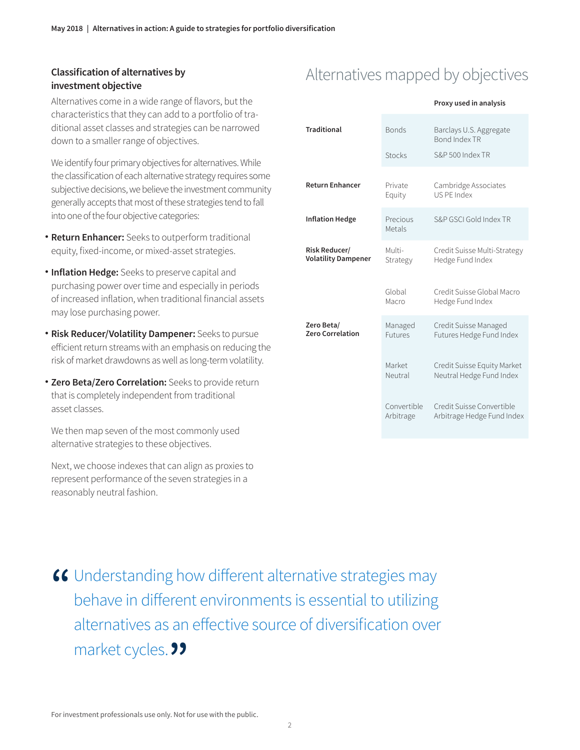### **Classification of alternatives by investment objective**

Alternatives come in a wide range of flavors, but the characteristics that they can add to a portfolio of traditional asset classes and strategies can be narrowed down to a smaller range of objectives.

We identify four primary objectives for alternatives. While the classification of each alternative strategy requires some subjective decisions, we believe the investment community generally accepts that most of these strategies tend to fall into one of the four objective categories:

- **Return Enhancer:** Seeks to outperform traditional equity, fixed-income, or mixed-asset strategies.
- **Inflation Hedge:** Seeks to preserve capital and purchasing power over time and especially in periods of increased inflation, when traditional financial assets may lose purchasing power.
- **Risk Reducer/Volatility Dampener:** Seeks to pursue efficient return streams with an emphasis on reducing the risk of market drawdowns as well as long-term volatility.
- **Zero Beta/Zero Correlation:** Seeks to provide return that is completely independent from traditional asset classes.

We then map seven of the most commonly used alternative strategies to these objectives.

Next, we choose indexes that can align as proxies to represent performance of the seven strategies in a reasonably neutral fashion.

# Alternatives mapped by objectives

**Proxy used in analysis**

| <b>Traditional</b>                                 | <b>Bonds</b><br>Stocks    | Barclays U.S. Aggregate<br>Bond Index TR<br>S&P 500 Index TR |  |  |
|----------------------------------------------------|---------------------------|--------------------------------------------------------------|--|--|
| <b>Return Enhancer</b>                             | Private<br>Equity         | Cambridge Associates<br>US PE Index                          |  |  |
| <b>Inflation Hedge</b>                             | Precious<br>Metals        | S&P GSCLGold Index TR                                        |  |  |
| <b>Risk Reducer/</b><br><b>Volatility Dampener</b> | Multi-<br>Strategy        | Credit Suisse Multi-Strategy<br>Hedge Fund Index             |  |  |
|                                                    | Global<br>Macro           | Credit Suisse Global Macro<br>Hedge Fund Index               |  |  |
| Zero Beta/<br><b>Zero Correlation</b>              | Managed<br><b>Futures</b> | Credit Suisse Managed<br>Futures Hedge Fund Index            |  |  |
|                                                    | Market<br>Neutral         | Credit Suisse Equity Market<br>Neutral Hedge Fund Index      |  |  |
|                                                    | Convertible<br>Arbitrage  | Credit Suisse Convertible<br>Arbitrage Hedge Fund Index      |  |  |

**"** Understanding how different alternative strategies may behave in different environments is essential to utilizing alternatives as an effective source of diversification over market cycles. **"**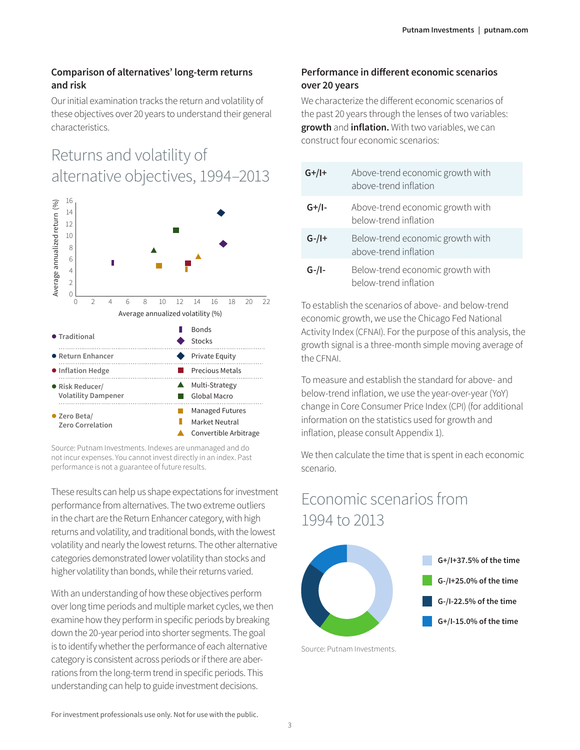### **Comparison of alternatives' long-term returns and risk**

Our initial examination tracks the return and volatility of these objectives over 20 years to understand their general characteristics.

# Returns and volatility of alternative objectives, 1994–2013



Source: Putnam Investments. Indexes are unmanaged and do not incur expenses. You cannot invest directly in an index. Past performance is not a guarantee of future results.

These results can help us shape expectations for investment performance from alternatives. The two extreme outliers in the chart are the Return Enhancer category, with high returns and volatility, and traditional bonds, with the lowest volatility and nearly the lowest returns. The other alternative categories demonstrated lower volatility than stocks and higher volatility than bonds, while their returns varied.

With an understanding of how these objectives perform over long time periods and multiple market cycles, we then examine how they perform in specific periods by breaking down the 20-year period into shorter segments. The goal is to identify whether the performance of each alternative category is consistent across periods or if there are aberrations from the long-term trend in specific periods. This understanding can help to guide investment decisions.

### **Performance in different economic scenarios over 20 years**

We characterize the different economic scenarios of the past 20 years through the lenses of two variables: **growth** and **inflation.** With two variables, we can construct four economic scenarios:

| $G+$ /l+ | Above-trend economic growth with<br>above-trend inflation |
|----------|-----------------------------------------------------------|
| $G+$ /l- | Above-trend economic growth with<br>below-trend inflation |
| $G-/H+$  | Below-trend economic growth with<br>above-trend inflation |
| G-/I-    | Below-trend economic growth with<br>below-trend inflation |

To establish the scenarios of above- and below-trend economic growth, we use the Chicago Fed National Activity Index (CFNAI). For the purpose of this analysis, the growth signal is a three-month simple moving average of the CFNAI.

To measure and establish the standard for above- and below-trend inflation, we use the year-over-year (YoY) change in Core Consumer Price Index (CPI) (for additional information on the statistics used for growth and inflation, please consult Appendix 1).

We then calculate the time that is spent in each economic scenario.

Economic scenarios from



Source: Putnam Investments.

1994 to 2013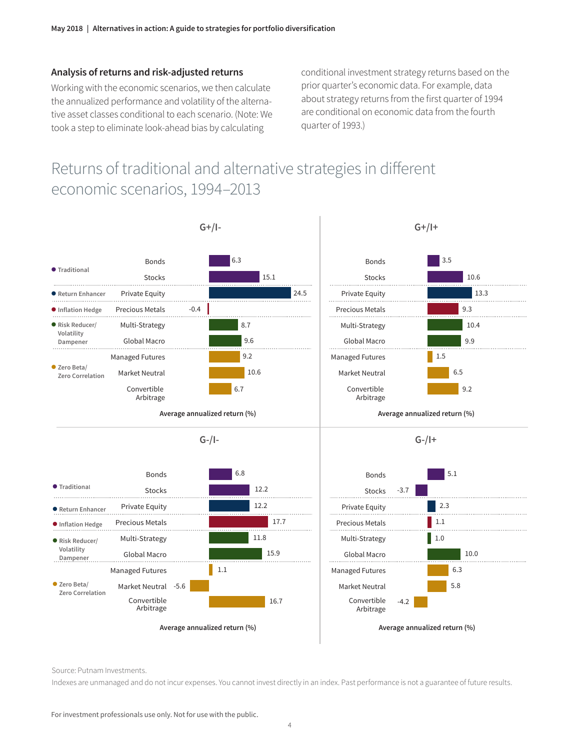### **Analysis of returns and risk-adjusted returns**

Working with the economic scenarios, we then calculate the annualized performance and volatility of the alternative asset classes conditional to each scenario. (Note: We took a step to eliminate look-ahead bias by calculating

conditional investment strategy returns based on the prior quarter's economic data. For example, data about strategy returns from the first quarter of 1994 are conditional on economic data from the fourth quarter of 1993.)

## Returns of traditional and alternative strategies in different economic scenarios, 1994–2013



Source: Putnam Investments.

Indexes are unmanaged and do not incur expenses. You cannot invest directly in an index. Past performance is not a guarantee of future results.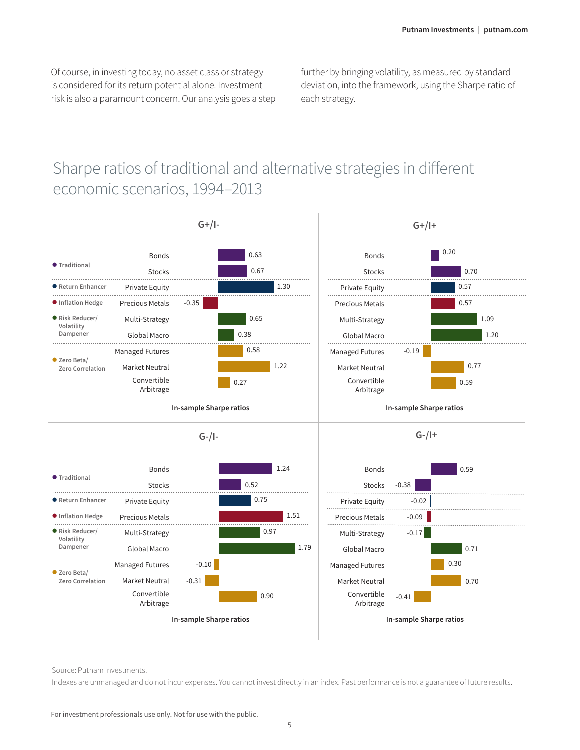Of course, in investing today, no asset class or strategy is considered for its return potential alone. Investment risk is also a paramount concern. Our analysis goes a step further by bringing volatility, as measured by standard deviation, into the framework, using the Sharpe ratio of each strategy.

## Sharpe ratios of traditional and alternative strategies in different economic scenarios, 1994–2013



Source: Putnam Investments.

Indexes are unmanaged and do not incur expenses. You cannot invest directly in an index. Past performance is not a guarantee of future results.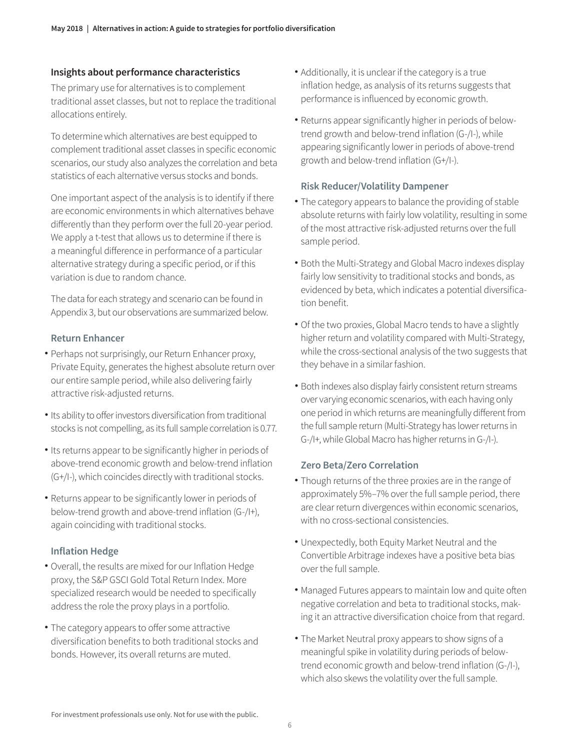### **Insights about performance characteristics**

The primary use for alternatives is to complement traditional asset classes, but not to replace the traditional allocations entirely.

To determine which alternatives are best equipped to complement traditional asset classes in specific economic scenarios, our study also analyzes the correlation and beta statistics of each alternative versus stocks and bonds.

One important aspect of the analysis is to identify if there are economic environments in which alternatives behave differently than they perform over the full 20-year period. We apply a t-test that allows us to determine if there is a meaningful difference in performance of a particular alternative strategy during a specific period, or if this variation is due to random chance.

The data for each strategy and scenario can be found in Appendix 3, but our observations are summarized below.

### **Return Enhancer**

- Perhaps not surprisingly, our Return Enhancer proxy, Private Equity, generates the highest absolute return over our entire sample period, while also delivering fairly attractive risk-adjusted returns.
- Its ability to offer investors diversification from traditional stocks is not compelling, as its full sample correlation is 0.77.
- Its returns appear to be significantly higher in periods of above-trend economic growth and below-trend inflation (G+/I-), which coincides directly with traditional stocks.
- Returns appear to be significantly lower in periods of below-trend growth and above-trend inflation (G-/I+), again coinciding with traditional stocks.

### **Inflation Hedge**

- Overall, the results are mixed for our Inflation Hedge proxy, the S&P GSCI Gold Total Return Index. More specialized research would be needed to specifically address the role the proxy plays in a portfolio.
- The category appears to offer some attractive diversification benefits to both traditional stocks and bonds. However, its overall returns are muted.
- Additionally, it is unclear if the category is a true inflation hedge, as analysis of its returns suggests that performance is influenced by economic growth.
- Returns appear significantly higher in periods of belowtrend growth and below-trend inflation (G-/I-), while appearing significantly lower in periods of above-trend growth and below-trend inflation (G+/I-).

### **Risk Reducer/Volatility Dampener**

- The category appears to balance the providing of stable absolute returns with fairly low volatility, resulting in some of the most attractive risk-adjusted returns over the full sample period.
- Both the Multi-Strategy and Global Macro indexes display fairly low sensitivity to traditional stocks and bonds, as evidenced by beta, which indicates a potential diversification benefit.
- Of the two proxies, Global Macro tends to have a slightly higher return and volatility compared with Multi-Strategy, while the cross-sectional analysis of the two suggests that they behave in a similar fashion.
- Both indexes also display fairly consistent return streams over varying economic scenarios, with each having only one period in which returns are meaningfully different from the full sample return (Multi-Strategy has lower returns in G-/I+, while Global Macro has higher returns in G-/I-).

### **Zero Beta/Zero Correlation**

- Though returns of the three proxies are in the range of approximately 5%–7% over the full sample period, there are clear return divergences within economic scenarios, with no cross-sectional consistencies.
- Unexpectedly, both Equity Market Neutral and the Convertible Arbitrage indexes have a positive beta bias over the full sample.
- Managed Futures appears to maintain low and quite often negative correlation and beta to traditional stocks, making it an attractive diversification choice from that regard.
- The Market Neutral proxy appears to show signs of a meaningful spike in volatility during periods of belowtrend economic growth and below-trend inflation (G-/I-), which also skews the volatility over the full sample.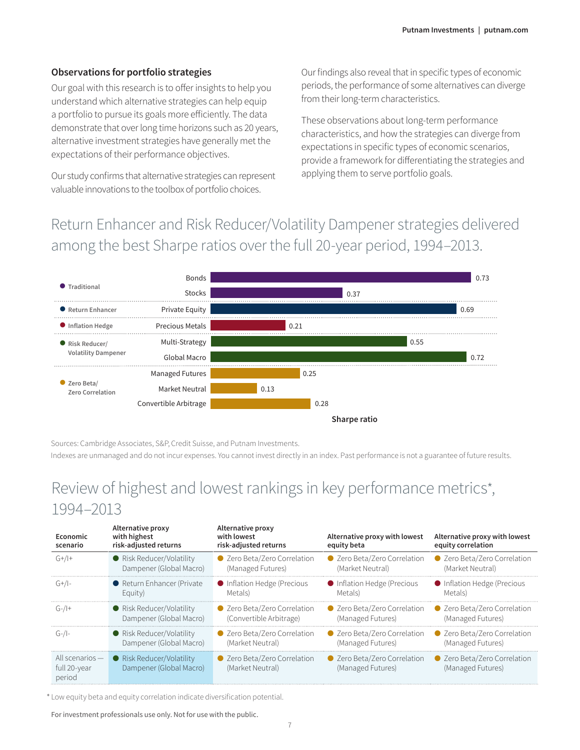### **Observations for portfolio strategies**

Our goal with this research is to offer insights to help you understand which alternative strategies can help equip a portfolio to pursue its goals more efficiently. The data demonstrate that over long time horizons such as 20 years, alternative investment strategies have generally met the expectations of their performance objectives.

Our study confirms that alternative strategies can represent valuable innovations to the toolbox of portfolio choices.

Our findings also reveal that in specific types of economic periods, the performance of some alternatives can diverge from their long-term characteristics.

These observations about long-term performance characteristics, and how the strategies can diverge from expectations in specific types of economic scenarios, provide a framework for differentiating the strategies and applying them to serve portfolio goals.

### Return Enhancer and Risk Reducer/Volatility Dampener strategies delivered among the best Sharpe ratios over the full 20-year period, 1994–2013.



Sources: Cambridge Associates, S&P, Credit Suisse, and Putnam Investments.

Indexes are unmanaged and do not incur expenses. You cannot invest directly in an index. Past performance is not a guarantee of future results.

# Review of highest and lowest rankings in key performance metrics\*, 1994–2013

| Economic<br>scenario                        | Alternative proxy<br>with highest<br>risk-adjusted returns | Alternative proxy<br>with lowest<br>risk-adjusted returns | Alternative proxy with lowest<br>equity beta                                   | Alternative proxy with lowest<br>equity correlation |
|---------------------------------------------|------------------------------------------------------------|-----------------------------------------------------------|--------------------------------------------------------------------------------|-----------------------------------------------------|
| $\binom{6+}{1}$                             | • Risk Reducer/Volatility<br>Dampener (Global Macro)       | ● Zero Beta/Zero Correlation<br>(Managed Futures)         | ● Zero Beta/Zero Correlation<br>(Market Neutral)                               | ● Zero Beta/Zero Correlation<br>(Market Neutral)    |
|                                             | Return Enhancer (Private<br>Equity)                        | • Inflation Hedge (Precious<br>Metals)                    | • Inflation Hedge (Precious<br>Metals)                                         | • Inflation Hedge (Precious<br>Metals)              |
| $(\frac{1}{1} - 1)$                         | • Risk Reducer/Volatility<br>Dampener (Global Macro)       | ● Zero Beta/Zero Correlation<br>(Convertible Arbitrage)   | ● Zero Beta/Zero Correlation ● Zero Beta/Zero Correlation<br>(Managed Futures) | (Managed Futures)                                   |
| $( - ) $ –                                  | ● Risk Reducer/Volatility<br>Dampener (Global Macro)       | ● Zero Beta/Zero Correlation<br>(Market Neutral)          | • Zero Beta/Zero Correlation • Zero Beta/Zero Correlation<br>(Managed Futures) | (Managed Futures)                                   |
| All scenarios $-$<br>full 20-year<br>period | Risk Reducer/Volatility<br>Dampener (Global Macro)         | ● Zero Beta/Zero Correlation<br>(Market Neutral)          | • Zero Beta/Zero Correlation • Zero Beta/Zero Correlation<br>(Managed Futures) | (Managed Futures)                                   |

Low equity beta and equity correlation indicate diversification potential. 1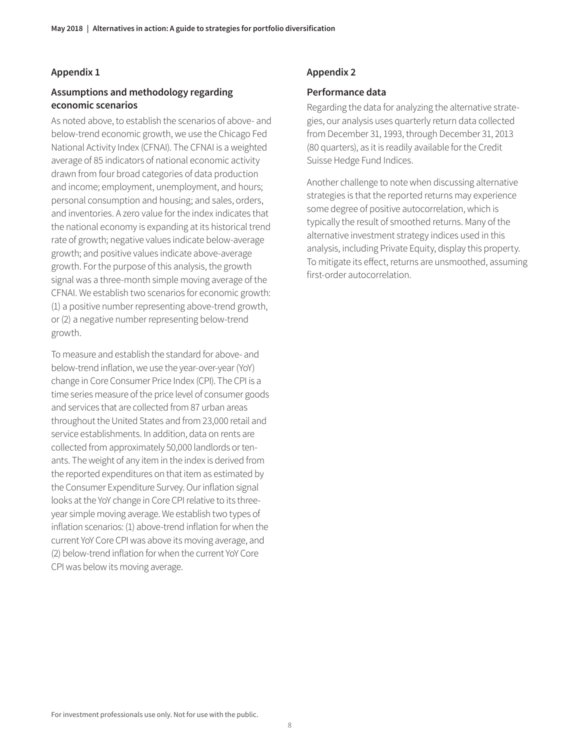### **Appendix 1**

### **Assumptions and methodology regarding economic scenarios**

As noted above, to establish the scenarios of above- and below-trend economic growth, we use the Chicago Fed National Activity Index (CFNAI). The CFNAI is a weighted average of 85 indicators of national economic activity drawn from four broad categories of data production and income; employment, unemployment, and hours; personal consumption and housing; and sales, orders, and inventories. A zero value for the index indicates that the national economy is expanding at its historical trend rate of growth; negative values indicate below-average growth; and positive values indicate above-average growth. For the purpose of this analysis, the growth signal was a three-month simple moving average of the CFNAI. We establish two scenarios for economic growth: (1) a positive number representing above-trend growth, or (2) a negative number representing below-trend growth.

To measure and establish the standard for above- and below-trend inflation, we use the year-over-year (YoY) change in Core Consumer Price Index (CPI). The CPI is a time series measure of the price level of consumer goods and services that are collected from 87 urban areas throughout the United States and from 23,000 retail and service establishments. In addition, data on rents are collected from approximately 50,000 landlords or tenants. The weight of any item in the index is derived from the reported expenditures on that item as estimated by the Consumer Expenditure Survey. Our inflation signal looks at the YoY change in Core CPI relative to its threeyear simple moving average. We establish two types of inflation scenarios: (1) above-trend inflation for when the current YoY Core CPI was above its moving average, and (2) below-trend inflation for when the current YoY Core CPI was below its moving average.

### **Appendix 2**

### **Performance data**

Regarding the data for analyzing the alternative strategies, our analysis uses quarterly return data collected from December 31, 1993, through December 31, 2013 (80 quarters), as it is readily available for the Credit Suisse Hedge Fund Indices.

Another challenge to note when discussing alternative strategies is that the reported returns may experience some degree of positive autocorrelation, which is typically the result of smoothed returns. Many of the alternative investment strategy indices used in this analysis, including Private Equity, display this property. To mitigate its effect, returns are unsmoothed, assuming first-order autocorrelation.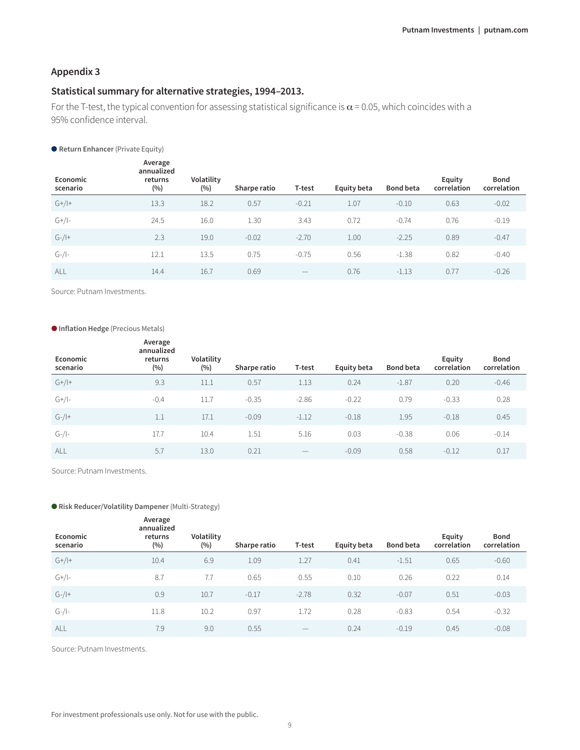### **Appendix 3**

### **Statistical summary for alternative strategies, 1994–2013.**

For the T-test, the typical convention for assessing statistical significance is  $\alpha$  = 0.05, which coincides with a 95% confidence interval.

**• Return Enhancer** (Private Equity)

| Economic<br>scenario | Average<br>annualized<br>returns<br>(%) | Volatility<br>(%) | Sharpe ratio | T-test          | Equity beta | Bond beta | Equity<br>correlation | <b>Bond</b><br>correlation |
|----------------------|-----------------------------------------|-------------------|--------------|-----------------|-------------|-----------|-----------------------|----------------------------|
|                      |                                         |                   |              |                 |             |           |                       |                            |
| $G+ / H$             | 13.3                                    | 18.2              | 0.57         | $-0.21$         | 1.07        | $-0.10$   | 0.63                  | $-0.02$                    |
| $G+/-$               | 24.5                                    | 16.0              | 1.30         | 3.43            | 0.72        | $-0.74$   | 0.76                  | $-0.19$                    |
|                      |                                         |                   |              |                 |             |           |                       |                            |
| $G-/H$               | 2.3                                     | 19.0              | $-0.02$      | $-2.70$         | 1.00        | $-2.25$   | 0.89                  | $-0.47$                    |
|                      |                                         |                   |              |                 |             |           |                       |                            |
| $G-$ /l-             | 12.1                                    | 13.5              | 0.75         | $-0.75$         | 0.56        | $-1.38$   | 0.82                  | $-0.40$                    |
|                      |                                         |                   |              |                 |             |           |                       |                            |
| ALL                  | 14.4                                    | 16.7              | 0.69         | $\qquad \qquad$ | 0.76        | $-1.13$   | 0.77                  | $-0.26$                    |

Source: Putnam Investments.

### l **Inflation Hedge** (Precious Metals)

| <b>Economic</b><br>scenario | Average<br>annualized<br>returns<br>(%) | Volatility<br>(%) | Sharpe ratio | T-test                                    | Equity beta | <b>Bond beta</b> | Equity<br>correlation | <b>Bond</b><br>correlation |
|-----------------------------|-----------------------------------------|-------------------|--------------|-------------------------------------------|-------------|------------------|-----------------------|----------------------------|
| $G+/H$                      | 9.3                                     | 11.1              | 0.57         | 1.13                                      | 0.24        | $-1.87$          | 0.20                  | $-0.46$                    |
| $G+/-$                      | $-0.4$                                  | 11.7              | $-0.35$      | $-2.86$                                   | $-0.22$     | 0.79             | $-0.33$               | 0.28                       |
| $G-/H$                      | 1.1                                     | 17.1              | $-0.09$      | $-1.12$                                   | $-0.18$     | 1.95             | $-0.18$               | 0.45                       |
| $G-$ / -                    | 17.7                                    | 10.4              | 1.51         | 5.16                                      | 0.03        | $-0.38$          | 0.06                  | $-0.14$                    |
| ALL                         | 5.7                                     | 13.0              | 0.21         | $\qquad \qquad \overline{\qquad \qquad }$ | $-0.09$     | 0.58             | $-0.12$               | 0.17                       |

Source: Putnam Investments.

#### l **Risk Reducer/Volatility Dampener** (Multi-Strategy)

|                      | Average<br>annualized |                   |              |                                 |             |           |                       |                            |
|----------------------|-----------------------|-------------------|--------------|---------------------------------|-------------|-----------|-----------------------|----------------------------|
| Economic<br>scenario | returns<br>(%)        | Volatility<br>(%) | Sharpe ratio | T-test                          | Equity beta | Bond beta | Equity<br>correlation | <b>Bond</b><br>correlation |
| $G+/H$               | 10.4                  | 6.9               | 1.09         | 1.27                            | 0.41        | $-1.51$   | 0.65                  | $-0.60$                    |
| $G+/-$               | 8.7                   | 7.7               | 0.65         | 0.55                            | 0.10        | 0.26      | 0.22                  | 0.14                       |
| $G-/H$               | 0.9                   | 10.7              | $-0.17$      | $-2.78$                         | 0.32        | $-0.07$   | 0.51                  | $-0.03$                    |
| $G-$ /l-             | 11.8                  | 10.2              | 0.97         | 1.72                            | 0.28        | $-0.83$   | 0.54                  | $-0.32$                    |
| ALL                  | 7.9                   | 9.0               | 0.55         | $\hspace{0.1mm}-\hspace{0.1mm}$ | 0.24        | $-0.19$   | 0.45                  | $-0.08$                    |

Source: Putnam Investments.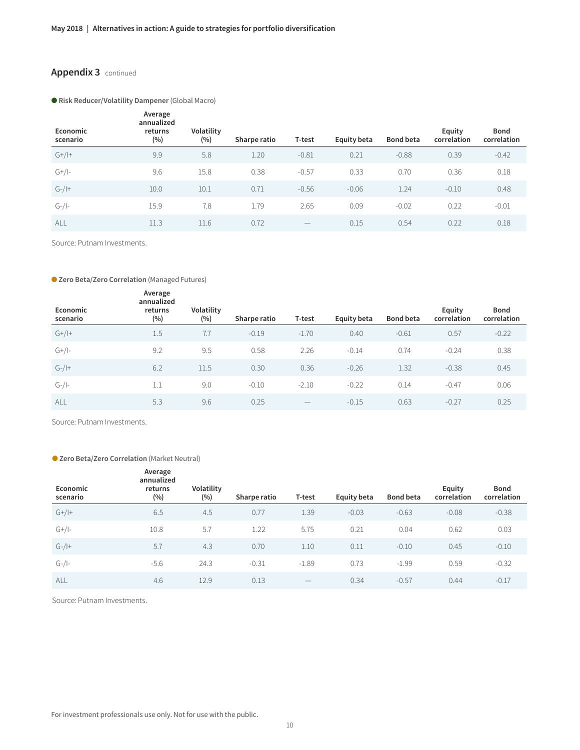### **Appendix 3** continued

### l **Risk Reducer/Volatility Dampener** (Global Macro)

| Economic<br>scenario | Average<br>annualized<br>returns<br>(%) | Volatility<br>(%) | Sharpe ratio | T-test                          | Equity beta | Bond beta | Equity<br>correlation | <b>Bond</b><br>correlation |
|----------------------|-----------------------------------------|-------------------|--------------|---------------------------------|-------------|-----------|-----------------------|----------------------------|
| $G+ /  +$            | 9.9                                     | 5.8               | 1.20         | $-0.81$                         | 0.21        | $-0.88$   | 0.39                  | $-0.42$                    |
| $G+/-$               | 9.6                                     | 15.8              | 0.38         | $-0.57$                         | 0.33        | 0.70      | 0.36                  | 0.18                       |
| $G-/H$               | 10.0                                    | 10.1              | 0.71         | $-0.56$                         | $-0.06$     | 1.24      | $-0.10$               | 0.48                       |
| $G-$ / -             | 15.9                                    | 7.8               | 1.79         | 2.65                            | 0.09        | $-0.02$   | 0.22                  | $-0.01$                    |
| ALL                  | 11.3                                    | 11.6              | 0.72         | $\hspace{0.1mm}-\hspace{0.1mm}$ | 0.15        | 0.54      | 0.22                  | 0.18                       |

Source: Putnam Investments.

#### l **Zero Beta/Zero Correlation** (Managed Futures)

| Economic<br>scenario | Average<br>annualized<br>returns<br>(%) | Volatility<br>(%) | Sharpe ratio | T-test          | <b>Equity beta</b> | <b>Bond beta</b> | Equity<br>correlation | <b>Bond</b><br>correlation |
|----------------------|-----------------------------------------|-------------------|--------------|-----------------|--------------------|------------------|-----------------------|----------------------------|
| $G+/H$               | 1.5                                     | 7.7               | $-0.19$      | $-1.70$         | 0.40               | $-0.61$          | 0.57                  | $-0.22$                    |
| $G+/-$               | 9.2                                     | 9.5               | 0.58         | 2.26            | $-0.14$            | 0.74             | $-0.24$               | 0.38                       |
| $G-/H$               | 6.2                                     | 11.5              | 0.30         | 0.36            | $-0.26$            | 1.32             | $-0.38$               | 0.45                       |
| $G-/-$               | 1.1                                     | 9.0               | $-0.10$      | $-2.10$         | $-0.22$            | 0.14             | $-0.47$               | 0.06                       |
| ALL                  | 5.3                                     | 9.6               | 0.25         | $\qquad \qquad$ | $-0.15$            | 0.63             | $-0.27$               | 0.25                       |

Source: Putnam Investments.

### l **Zero Beta/Zero Correlation** (Market Neutral)

| Economic<br>scenario | Average<br>annualized<br>returns<br>(%) | Volatility<br>(%) | Sharpe ratio | T-test                          | Equity beta | <b>Bond beta</b> | Equity<br>correlation | <b>Bond</b><br>correlation |
|----------------------|-----------------------------------------|-------------------|--------------|---------------------------------|-------------|------------------|-----------------------|----------------------------|
| $G+ /  +$            | 6.5                                     | 4.5               | 0.77         | 1.39                            | $-0.03$     | $-0.63$          | $-0.08$               | $-0.38$                    |
| $G+/-$               | 10.8                                    | 5.7               | 1.22         | 5.75                            | 0.21        | 0.04             | 0.62                  | 0.03                       |
| $G-/H$               | 5.7                                     | 4.3               | 0.70         | 1.10                            | 0.11        | $-0.10$          | 0.45                  | $-0.10$                    |
| $G-/-$               | $-5.6$                                  | 24.3              | $-0.31$      | $-1.89$                         | 0.73        | $-1.99$          | 0.59                  | $-0.32$                    |
| ALL                  | 4.6                                     | 12.9              | 0.13         | $\hspace{0.1mm}-\hspace{0.1mm}$ | 0.34        | $-0.57$          | 0.44                  | $-0.17$                    |

Source: Putnam Investments.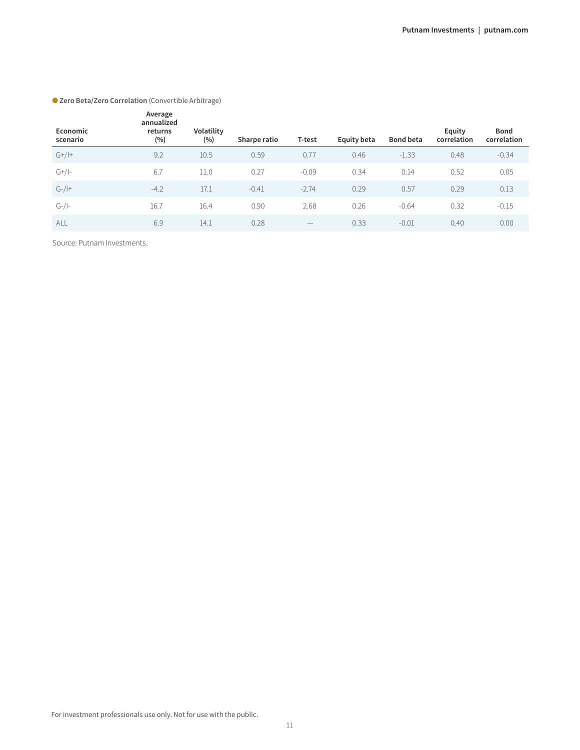| Economic<br>scenario | Average<br>annualized<br>returns<br>(%) | Volatility<br>(%) | Sharpe ratio | T-test                          | Equity beta | <b>Bond beta</b> | Equity<br>correlation | <b>Bond</b><br>correlation |
|----------------------|-----------------------------------------|-------------------|--------------|---------------------------------|-------------|------------------|-----------------------|----------------------------|
| $G+ /  +$            | 9.2                                     | 10.5              | 0.59         | 0.77                            | 0.46        | $-1.33$          | 0.48                  | $-0.34$                    |
| $G+/-$               | 6.7                                     | 11.0              | 0.27         | $-0.09$                         | 0.34        | 0.14             | 0.52                  | 0.05                       |
| $G-/H$               | $-4.2$                                  | 17.1              | $-0.41$      | $-2.74$                         | 0.29        | 0.57             | 0.29                  | 0.13                       |
| $G-$ / -             | 16.7                                    | 16.4              | 0.90         | 2.68                            | 0.26        | $-0.64$          | 0.32                  | $-0.15$                    |
| <b>ALL</b>           | 6.9                                     | 14.1              | 0.28         | $\hspace{0.1mm}-\hspace{0.1mm}$ | 0.33        | $-0.01$          | 0.40                  | 0.00                       |

### l **Zero Beta/Zero Correlation** (Convertible Arbitrage)

Source: Putnam Investments.